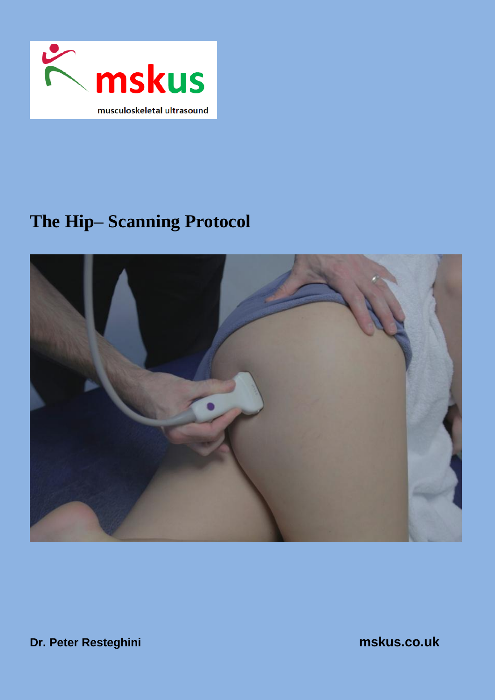

# **The Hip– Scanning Protocol**



**Dr. Peter Resteghini mskus.co.uk**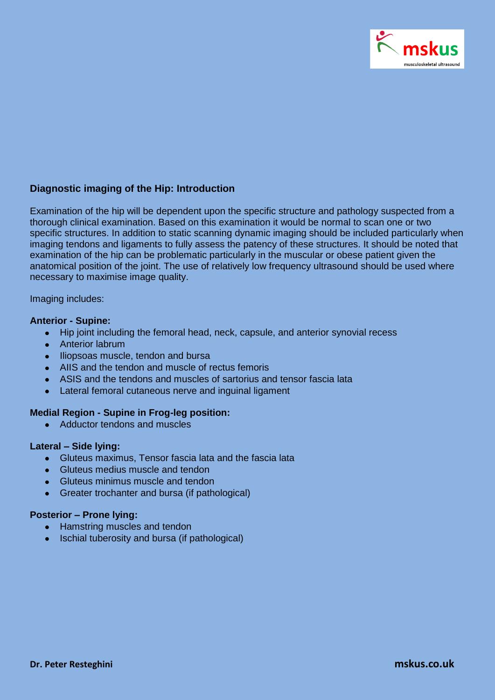

#### **Diagnostic imaging of the Hip: Introduction**

Examination of the hip will be dependent upon the specific structure and pathology suspected from a thorough clinical examination. Based on this examination it would be normal to scan one or two specific structures. In addition to static scanning dynamic imaging should be included particularly when imaging tendons and ligaments to fully assess the patency of these structures. It should be noted that examination of the hip can be problematic particularly in the muscular or obese patient given the anatomical position of the joint. The use of relatively low frequency ultrasound should be used where necessary to maximise image quality.

#### Imaging includes:

#### **Anterior - Supine:**

- Hip joint including the femoral head, neck, capsule, and anterior synovial recess
- Anterior labrum
- Iliopsoas muscle, tendon and bursa
- AIIS and the tendon and muscle of rectus femoris
- ASIS and the tendons and muscles of sartorius and tensor fascia lata
- Lateral femoral cutaneous nerve and inguinal ligament

#### **Medial Region - Supine in Frog-leg position:**

• Adductor tendons and muscles

#### **Lateral – Side lying:**

- Gluteus maximus, Tensor fascia lata and the fascia lata
- Gluteus medius muscle and tendon
- Gluteus minimus muscle and tendon
- Greater trochanter and bursa (if pathological)

## **Posterior – Prone lying:**

- Hamstring muscles and tendon
- Ischial tuberosity and bursa (if pathological)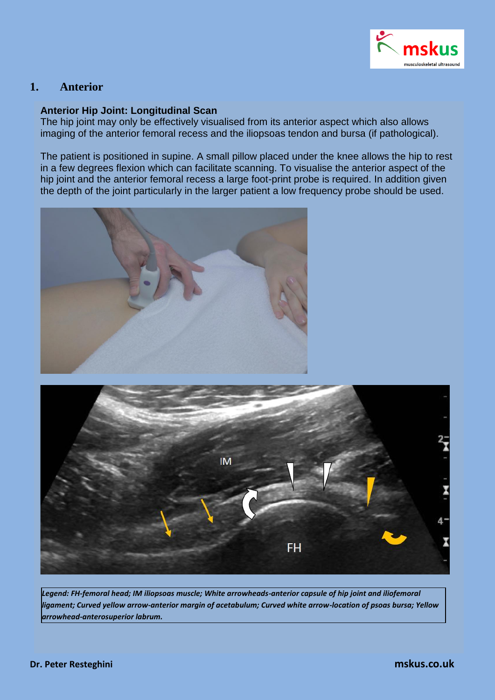

# **1. Anterior**

#### **Anterior Hip Joint: Longitudinal Scan**

The hip joint may only be effectively visualised from its anterior aspect which also allows imaging of the anterior femoral recess and the iliopsoas tendon and bursa (if pathological).

The patient is positioned in supine. A small pillow placed under the knee allows the hip to rest in a few degrees flexion which can facilitate scanning. To visualise the anterior aspect of the hip joint and the anterior femoral recess a large foot-print probe is required. In addition given the depth of the joint particularly in the larger patient a low frequency probe should be used.





*Legend: FH-femoral head; IM iliopsoas muscle; White arrowheads-anterior capsule of hip joint and iliofemoral ligament; Curved yellow arrow-anterior margin of acetabulum; Curved white arrow-location of psoas bursa; Yellow arrowhead-anterosuperior labrum.*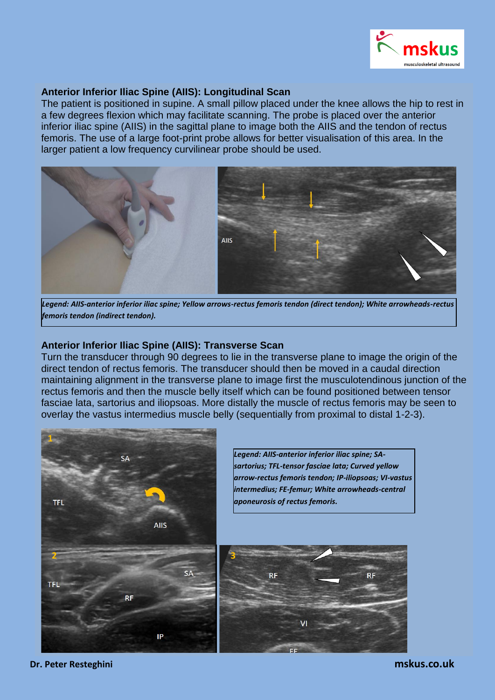

#### **Anterior Inferior Iliac Spine (AIIS): Longitudinal Scan**

The patient is positioned in supine. A small pillow placed under the knee allows the hip to rest in a few degrees flexion which may facilitate scanning. The probe is placed over the anterior inferior iliac spine (AIIS) in the sagittal plane to image both the AIIS and the tendon of rectus femoris. The use of a large foot-print probe allows for better visualisation of this area. In the larger patient a low frequency curvilinear probe should be used.



*Legend: AIIS-anterior inferior iliac spine; Yellow arrows-rectus femoris tendon (direct tendon); White arrowheads-rectus femoris tendon (indirect tendon).*

#### **Anterior Inferior Iliac Spine (AIIS): Transverse Scan**

Turn the transducer through 90 degrees to lie in the transverse plane to image the origin of the direct tendon of rectus femoris. The transducer should then be moved in a caudal direction maintaining alignment in the transverse plane to image first the musculotendinous junction of the rectus femoris and then the muscle belly itself which can be found positioned between tensor fasciae lata, sartorius and iliopsoas. More distally the muscle of rectus femoris may be seen to overlay the vastus intermedius muscle belly (sequentially from proximal to distal 1-2-3).



*Legend: AIIS-anterior inferior iliac spine; SAsartorius; TFL-tensor fasciae lata; Curved yellow arrow-rectus femoris tendon; IP-iliopsoas; VI-vastus intermedius; FE-femur; White arrowheads-central aponeurosis of rectus femoris.*

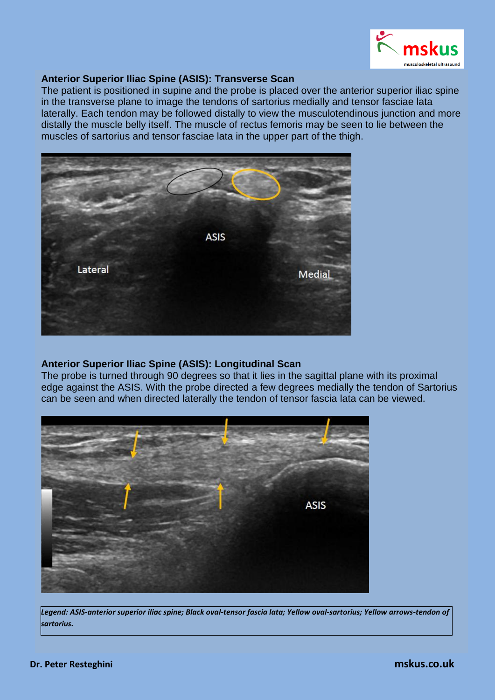

#### **Anterior Superior Iliac Spine (ASIS): Transverse Scan**

The patient is positioned in supine and the probe is placed over the anterior superior iliac spine in the transverse plane to image the tendons of sartorius medially and tensor fasciae lata laterally. Each tendon may be followed distally to view the musculotendinous junction and more distally the muscle belly itself. The muscle of rectus femoris may be seen to lie between the muscles of sartorius and tensor fasciae lata in the upper part of the thigh.



## **Anterior Superior Iliac Spine (ASIS): Longitudinal Scan**

The probe is turned through 90 degrees so that it lies in the sagittal plane with its proximal edge against the ASIS. With the probe directed a few degrees medially the tendon of Sartorius can be seen and when directed laterally the tendon of tensor fascia lata can be viewed.



*Legend: ASIS-anterior superior iliac spine; Black oval-tensor fascia lata; Yellow oval-sartorius; Yellow arrows-tendon of sartorius.*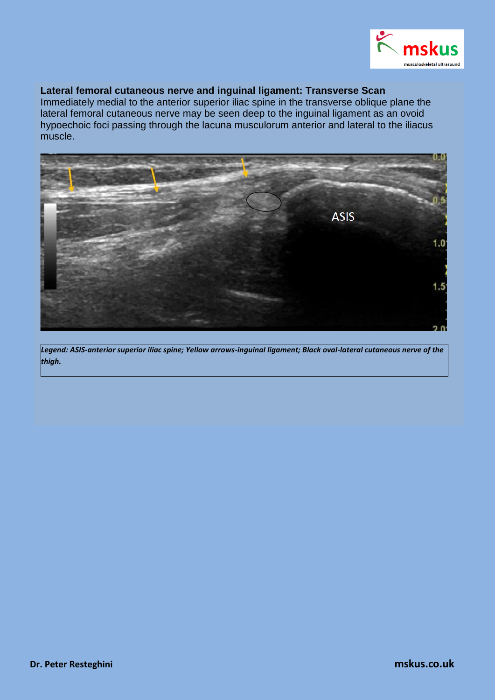

#### **Lateral femoral cutaneous nerve and inguinal ligament: Transverse Scan**

Immediately medial to the anterior superior iliac spine in the transverse oblique plane the lateral femoral cutaneous nerve may be seen deep to the inguinal ligament as an ovoid hypoechoic foci passing through the lacuna musculorum anterior and lateral to the iliacus muscle.



*Legend: ASIS-anterior superior iliac spine; Yellow arrows-inguinal ligament; Black oval-lateral cutaneous nerve of the thigh.*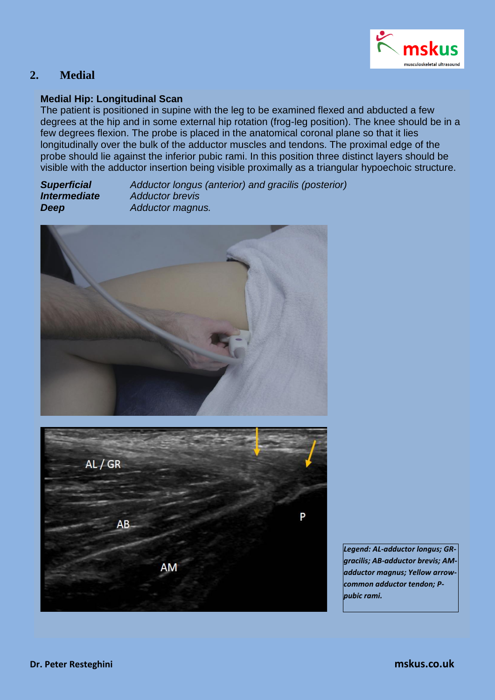

# **2. Medial**

## **Medial Hip: Longitudinal Scan**

The patient is positioned in supine with the leg to be examined flexed and abducted a few degrees at the hip and in some external hip rotation (frog-leg position). The knee should be in a few degrees flexion. The probe is placed in the anatomical coronal plane so that it lies longitudinally over the bulk of the adductor muscles and tendons. The proximal edge of the probe should lie against the inferior pubic rami. In this position three distinct layers should be visible with the adductor insertion being visible proximally as a triangular hypoechoic structure.

| <b>Superficial</b>         | Adductor longus (anterior) and gracilis (posterior) |
|----------------------------|-----------------------------------------------------|
| <i><b>Intermediate</b></i> | <b>Adductor brevis</b>                              |
| Deep                       | Adductor magnus.                                    |





*Legend: AL-adductor longus; GRgracilis; AB-adductor brevis; AMadductor magnus; Yellow arrowcommon adductor tendon; Ppubic rami.*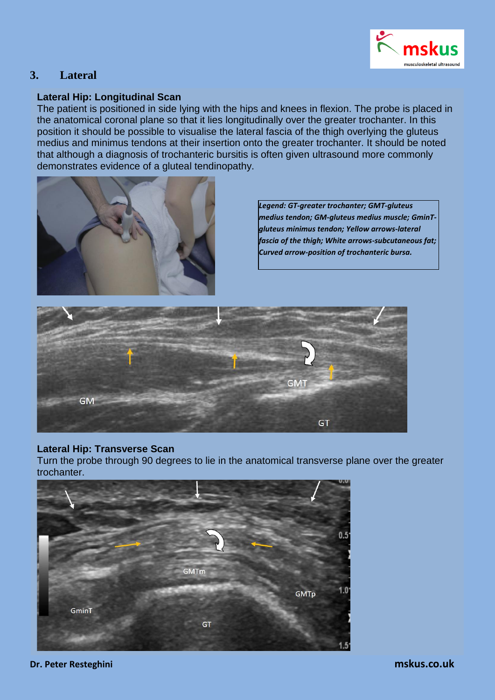

# **3. Lateral**

#### **Lateral Hip: Longitudinal Scan**

The patient is positioned in side lying with the hips and knees in flexion. The probe is placed in the anatomical coronal plane so that it lies longitudinally over the greater trochanter. In this position it should be possible to visualise the lateral fascia of the thigh overlying the gluteus medius and minimus tendons at their insertion onto the greater trochanter. It should be noted that although a diagnosis of trochanteric bursitis is often given ultrasound more commonly demonstrates evidence of a gluteal tendinopathy.



*Legend: GT-greater trochanter; GMT-gluteus medius tendon; GM-gluteus medius muscle; GminTgluteus minimus tendon; Yellow arrows-lateral fascia of the thigh; White arrows-subcutaneous fat; Curved arrow-position of trochanteric bursa.*



## **Lateral Hip: Transverse Scan**

Turn the probe through 90 degrees to lie in the anatomical transverse plane over the greater trochanter.